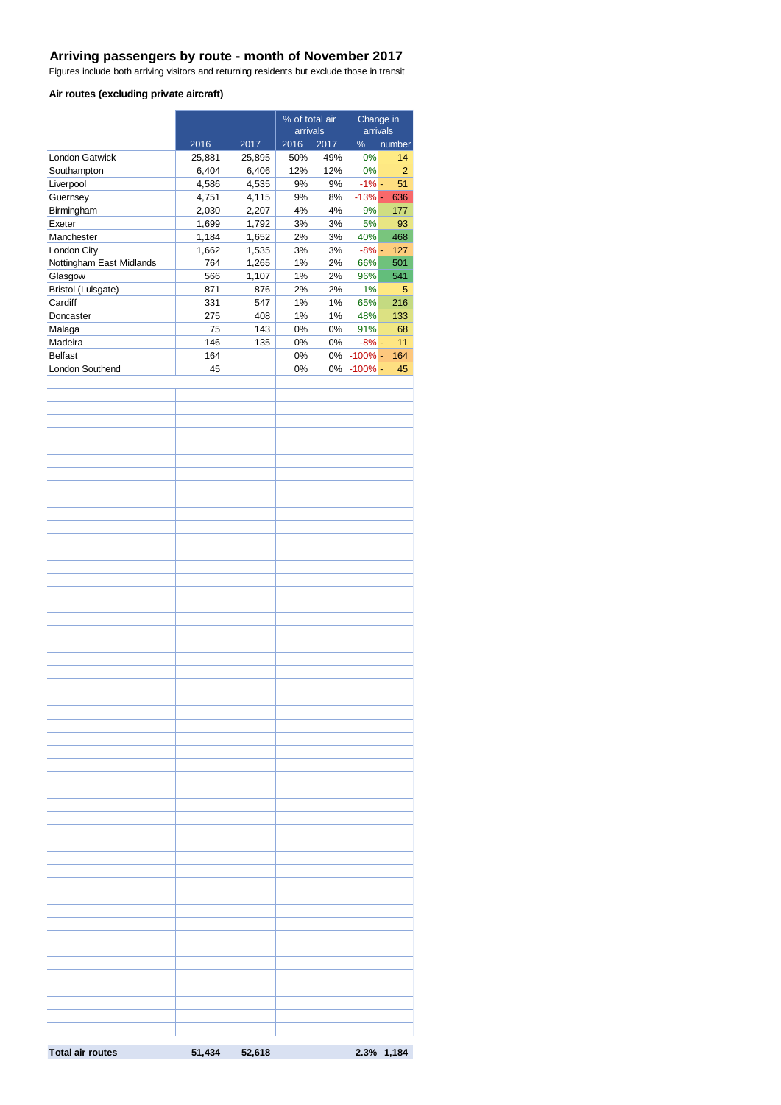#### **Arriving passengers by route - month of November 2017**

Figures include both arriving visitors and returning residents but exclude those in transit

### **Air routes (excluding private aircraft)**

|                                     |            |                | % of total air           |             | Change in               |                |  |
|-------------------------------------|------------|----------------|--------------------------|-------------|-------------------------|----------------|--|
|                                     | 2016       | 2017           | arrivals<br>2016<br>2017 |             | arrivals<br>%<br>number |                |  |
| London Gatwick                      | 25,881     | 25,895         | 50%                      | 49%         | 0%                      | 14             |  |
| Southampton                         | 6,404      | 6,406          | 12%                      | 12%         | 0%                      | $\overline{2}$ |  |
| Liverpool                           | 4,586      | 4,535          | 9%                       | 9%          | $-1\%$ -                | 51             |  |
| Guernsey                            | 4,751      | 4,115          | 9%                       | 8%          | $-13%$ -                | 636            |  |
| Birmingham                          | 2,030      | 2,207          | 4%                       | 4%          | 9%                      | 177            |  |
| Exeter                              | 1,699      | 1,792          | $3%$                     | 3%          | 5%                      | 93             |  |
| Manchester                          | 1,184      | 1,652          | 2%                       | 3%          | 40%                     | 468            |  |
| London City                         | 1,662      | 1,535          | 3%                       | 3%          | $-8\%$ -                | 127            |  |
| Nottingham East Midlands<br>Glasgow | 764<br>566 | 1,265<br>1,107 | 1%<br>1%                 | 2%<br>$2\%$ | 66%<br>96%              | 501<br>541     |  |
| Bristol (Lulsgate)                  | 871        | 876            | 2%                       | 2%          | 1%                      | $\sqrt{5}$     |  |
| Cardiff                             | 331        | 547            | 1%                       | 1%          | 65%                     | 216            |  |
| Doncaster                           | 275        | 408            | 1%                       | 1%          | 48%                     | 133            |  |
| Malaga                              | 75         | 143            | 0%                       | 0%          | 91%                     | 68             |  |
| Madeira                             | 146        | 135            | 0%                       | 0%          | $-8\%$ -                | 11             |  |
| <b>Belfast</b>                      | 164        |                | 0%                       |             | 0% - 100% -             | 164            |  |
| London Southend                     | 45         |                | 0%                       | 0%          | $-100\%$ -              | 45             |  |
|                                     |            |                |                          |             |                         |                |  |
|                                     |            |                |                          |             |                         |                |  |
|                                     |            |                |                          |             |                         |                |  |
|                                     |            |                |                          |             |                         |                |  |
|                                     |            |                |                          |             |                         |                |  |
|                                     |            |                |                          |             |                         |                |  |
|                                     |            |                |                          |             |                         |                |  |
|                                     |            |                |                          |             |                         |                |  |
|                                     |            |                |                          |             |                         |                |  |
|                                     |            |                |                          |             |                         |                |  |
|                                     |            |                |                          |             |                         |                |  |
|                                     |            |                |                          |             |                         |                |  |
|                                     |            |                |                          |             |                         |                |  |
|                                     |            |                |                          |             |                         |                |  |
|                                     |            |                |                          |             |                         |                |  |
|                                     |            |                |                          |             |                         |                |  |
|                                     |            |                |                          |             |                         |                |  |
|                                     |            |                |                          |             |                         |                |  |
|                                     |            |                |                          |             |                         |                |  |
|                                     |            |                |                          |             |                         |                |  |
|                                     |            |                |                          |             |                         |                |  |
|                                     |            |                |                          |             |                         |                |  |
|                                     |            |                |                          |             |                         |                |  |
|                                     |            |                |                          |             |                         |                |  |
|                                     |            |                |                          |             |                         |                |  |
|                                     |            |                |                          |             |                         |                |  |
|                                     |            |                |                          |             |                         |                |  |
|                                     |            |                |                          |             |                         |                |  |
|                                     |            |                |                          |             |                         |                |  |
|                                     |            |                |                          |             |                         |                |  |
|                                     |            |                |                          |             |                         |                |  |
|                                     |            |                |                          |             |                         |                |  |
|                                     |            |                |                          |             |                         |                |  |
|                                     |            |                |                          |             |                         |                |  |
|                                     |            |                |                          |             |                         |                |  |
|                                     |            |                |                          |             |                         |                |  |
|                                     |            |                |                          |             |                         |                |  |
|                                     |            |                |                          |             |                         |                |  |
|                                     |            |                |                          |             |                         |                |  |
|                                     |            |                |                          |             |                         |                |  |
|                                     |            |                |                          |             |                         |                |  |
|                                     |            |                |                          |             |                         |                |  |
|                                     |            |                |                          |             |                         |                |  |
|                                     |            |                |                          |             |                         |                |  |
|                                     |            |                |                          |             |                         |                |  |
|                                     |            |                |                          |             |                         |                |  |
|                                     |            |                |                          |             |                         |                |  |
| <b>Total air routes</b>             | 51,434     | 52,618         |                          |             |                         | 2.3% 1,184     |  |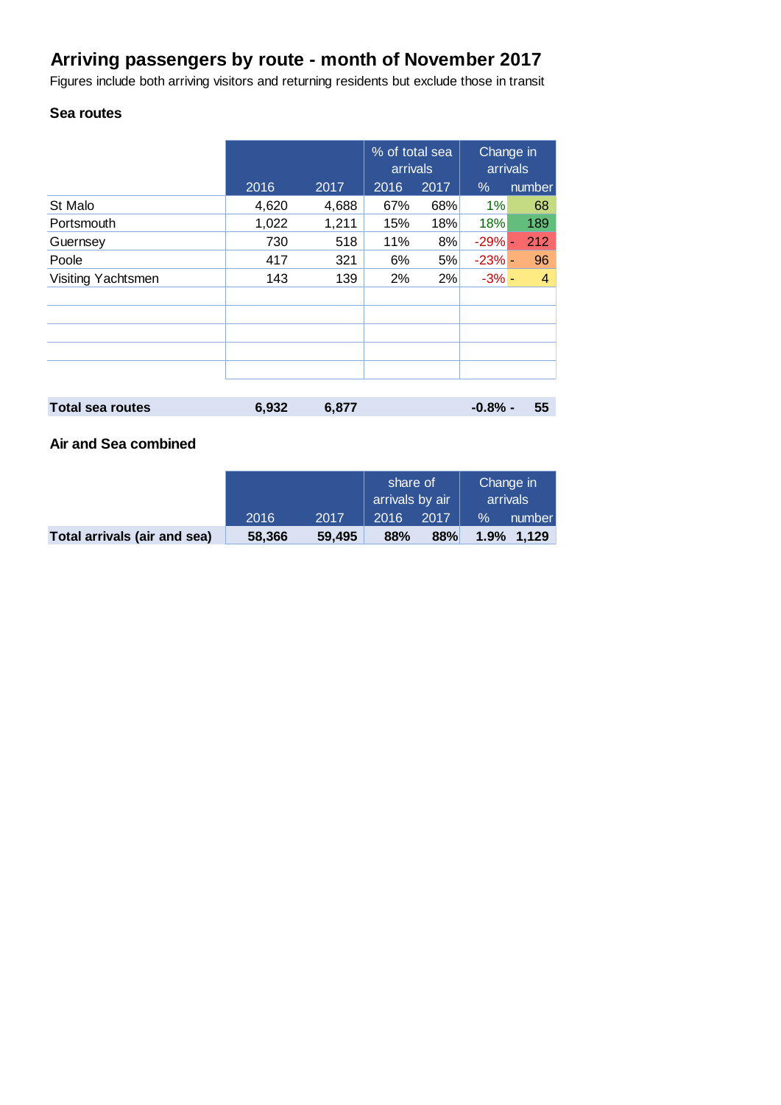# **Arriving passengers by route - month of November 2017**

Figures include both arriving visitors and returning residents but exclude those in transit

# **Sea routes**

|                         |       |       | % of total sea<br>arrivals |      | Change in<br>arrivals |                |
|-------------------------|-------|-------|----------------------------|------|-----------------------|----------------|
|                         | 2016  | 2017  | 2016                       | 2017 | $\%$                  | number         |
| St Malo                 | 4,620 | 4,688 | 67%                        | 68%  | 1%                    | 68             |
| Portsmouth              | 1,022 | 1,211 | 15%                        | 18%  | 18%                   | 189            |
| Guernsey                | 730   | 518   | 11%                        | 8%   | $-29% -$              | 212            |
| Poole                   | 417   | 321   | 6%                         | 5%   | $-23%$ -              | 96             |
| Visiting Yachtsmen      | 143   | 139   | 2%                         | 2%   | $-3% -$               | $\overline{4}$ |
|                         |       |       |                            |      |                       |                |
|                         |       |       |                            |      |                       |                |
|                         |       |       |                            |      |                       |                |
|                         |       |       |                            |      |                       |                |
|                         |       |       |                            |      |                       |                |
|                         |       |       |                            |      |                       |                |
| <b>Total sea routes</b> | 6,932 | 6,877 |                            |      | $-0.8%$ -             | 55             |

## **Air and Sea combined**

|                              |        |        | share of<br>arrivals by air |      | Change in<br>arrivals |            |
|------------------------------|--------|--------|-----------------------------|------|-----------------------|------------|
|                              | 2016   | 2017   | 2016                        | 2017 | $\%$                  | number     |
| Total arrivals (air and sea) | 58,366 | 59,495 | 88%                         | 88%  |                       | 1.9% 1.129 |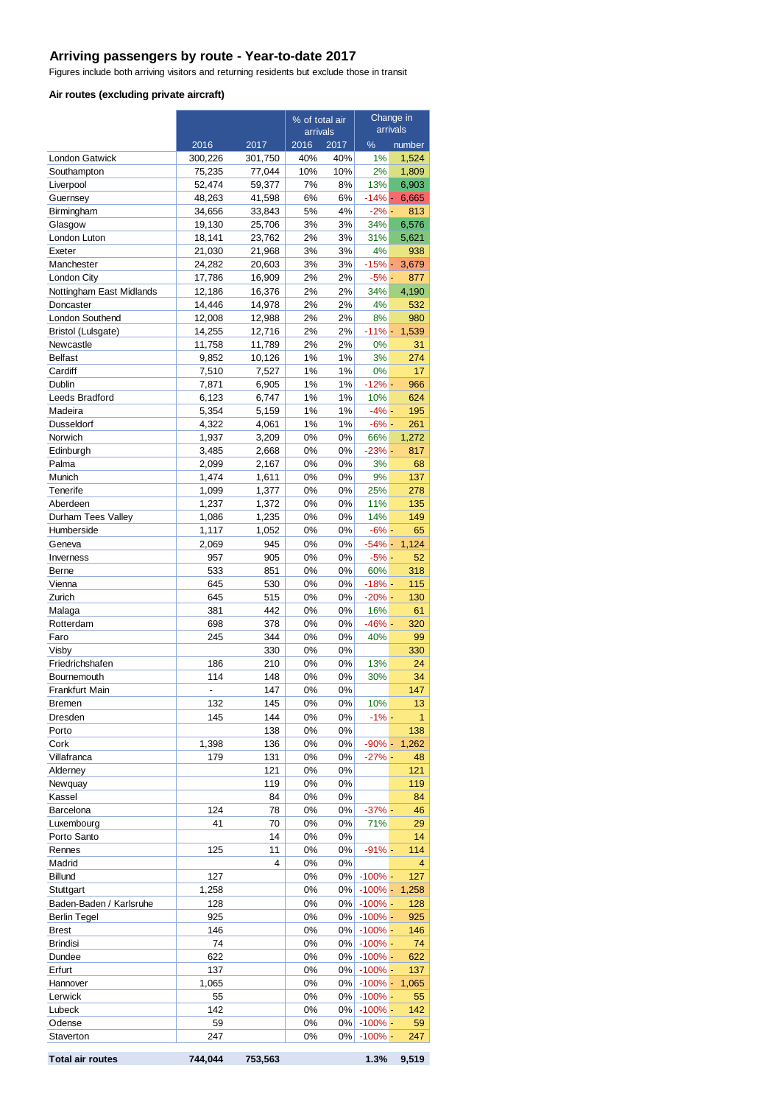## **Arriving passengers by route - Year-to-date 2017**

Figures include both arriving visitors and returning residents but exclude those in transit

### **Air routes (excluding private aircraft)**

|                               |                  |                  | % of total air<br>arrivals |                | Change in<br>arrivals    |                |
|-------------------------------|------------------|------------------|----------------------------|----------------|--------------------------|----------------|
|                               | 2016             | 2017             | 2016                       | 2017           | %                        | number         |
| <b>London Gatwick</b>         | 300,226          | 301,750          | 40%                        | 40%            | 1%                       | 1,524          |
| Southampton                   | 75,235           | 77,044           | 10%                        | 10%            | 2%                       | 1,809          |
| Liverpool                     | 52,474           | 59,377           | 7%                         | 8%             | 13%                      | 6,903          |
| Guernsey                      | 48,263           | 41,598           | 6%                         | 6%             | $-14% -$                 | 6,665          |
| Birmingham                    | 34,656           | 33,843           | 5%                         | 4%             | $-2% -$                  | 813            |
| Glasgow                       | 19,130           | 25,706           | 3%                         | 3%             | 34%                      | 6,576          |
| London Luton<br>Exeter        | 18,141<br>21,030 | 23,762<br>21,968 | 2%<br>3%                   | 3%<br>3%       | 31%<br>4%                | 5,621<br>938   |
| Manchester                    | 24,282           | 20,603           | 3%                         | 3%             | $-15% -$                 | 3,679          |
| London City                   | 17,786           | 16,909           | 2%                         | 2%             | $-5% -$                  | 877            |
| Nottingham East Midlands      | 12,186           | 16,376           | 2%                         | 2%             | 34%                      | 4,190          |
| Doncaster                     | 14,446           | 14,978           | 2%                         | 2%             | 4%                       | 532            |
| London Southend               | 12,008           | 12,988           | 2%                         | 2%             | 8%                       | 980            |
| Bristol (Lulsgate)            | 14,255           | 12,716           | 2%                         | 2%             | $-11% -$                 | 1,539          |
| Newcastle                     | 11,758           | 11,789           | 2%                         | 2%             | 0%                       | 31             |
| <b>Belfast</b><br>Cardiff     | 9,852            | 10,126<br>7,527  | 1%<br>1%                   | 1%<br>1%       | 3%<br>0%                 | 274<br>17      |
| Dublin                        | 7,510<br>7,871   | 6,905            | 1%                         | 1%             | $-12% -$                 | 966            |
| Leeds Bradford                | 6,123            | 6,747            | 1%                         | 1%             | 10%                      | 624            |
| Madeira                       | 5,354            | 5,159            | 1%                         | 1%             | $-4% -$                  | 195            |
| <b>Dusseldorf</b>             | 4,322            | 4,061            | 1%                         | 1%             | $-6% -$                  | 261            |
| Norwich                       | 1,937            | 3,209            | 0%                         | 0%             | 66%                      | 1,272          |
| Edinburgh                     | 3,485            | 2,668            | 0%                         | 0%             | $-23%$ -                 | 817            |
| Palma                         | 2,099            | 2,167            | 0%                         | 0%             | 3%                       | 68             |
| Munich                        | 1,474            | 1,611            | 0%                         | 0%             | 9%                       | 137            |
| Tenerife                      | 1,099            | 1,377            | 0%                         | 0%             | 25%                      | 278            |
| Aberdeen                      | 1,237            | 1,372            | 0%                         | 0%             | 11%                      | 135            |
| Durham Tees Valley            | 1,086            | 1,235            | 0%                         | 0%             | 14%                      | 149            |
| Humberside<br>Geneva          | 1,117<br>2,069   | 1,052<br>945     | 0%<br>0%                   | 0%<br>0%       | $-6% -$<br>$-54% -$      | 65<br>1,124    |
| Inverness                     | 957              | 905              | 0%                         | 0%             | $-5% -$                  | 52             |
| Berne                         | 533              | 851              | 0%                         | 0%             | 60%                      | 318            |
| Vienna                        | 645              | 530              | 0%                         | 0%             | $-18% -$                 | 115            |
| Zurich                        | 645              | 515              | 0%                         | 0%             | $-20% -$                 | 130            |
| Malaga                        | 381              | 442              | 0%                         | 0%             | 16%                      | 61             |
| Rotterdam                     | 698              | 378              | 0%                         | 0%             | $-46% -$                 | 320            |
| Faro                          | 245              | 344              | 0%                         | 0%             | 40%                      | 99             |
| Visby                         |                  | 330              | 0%                         | 0%             |                          | 330            |
| Friedrichshafen               | 186<br>114       | 210<br>148       | 0%<br>0%                   | 0%<br>0%       | 13%<br>30%               | 24             |
| Bournemouth<br>Frankfurt Main | $\frac{1}{2}$    | 147              | 0%                         | 0%             |                          | 34<br>147      |
| Bremen                        | 132              | 145              | 0%                         | 0%             | 10%                      | 13             |
| Dresden                       | 145              | 144              | 0%                         | 0%             | $-1% -$                  | $\overline{1}$ |
| Porto                         |                  | 138              | 0%                         | 0%             |                          | 138            |
| Cork                          | 1,398            | 136              | 0%                         | 0%             | $-90% -$                 | 1,262          |
| Villafranca                   | 179              | 131              | 0%                         | 0%             | $-27% -$                 | 48             |
| Alderney                      |                  | 121              | 0%                         | 0%             |                          | 121            |
| Newquay                       |                  | 119              | 0%                         | 0%             |                          | 119            |
| Kassel                        |                  | 84               | 0%                         | 0%             |                          | 84             |
| Barcelona                     | 124              | 78               | 0%                         | 0%             | $-37%$ -                 | 46             |
| Luxembourg<br>Porto Santo     | 41               | 70<br>14         | 0%<br>0%                   | 0%<br>0%       | 71%                      | 29<br>14       |
| Rennes                        | 125              | 11               | 0%                         | 0%             | $-91% -$                 | 114            |
| Madrid                        |                  | 4                | 0%                         | 0%             |                          | $\overline{4}$ |
| <b>Billund</b>                | 127              |                  | 0%                         | 0%             | $-100\%$ -               | 127            |
| Stuttgart                     | 1,258            |                  | 0%                         | 0%             | $-100\%$ -               | 1,258          |
| Baden-Baden / Karlsruhe       | 128              |                  | 0%                         | 0%             | $-100\%$ -               | 128            |
| Berlin Tegel                  | 925              |                  | 0%                         | $0\%$          | $-100\%$ -               | 925            |
| <b>Brest</b>                  | 146              |                  | 0%                         | 0%             | $-100\%$ -               | 146            |
| <b>Brindisi</b>               | 74               |                  | 0%                         | 0%             | $-100\%$ -               | 74             |
| Dundee<br>Erfurt              | 622<br>137       |                  | 0%<br>0%                   | 0%             | $-100\%$ -<br>$-100\%$ - | 622<br>137     |
| Hannover                      | 1,065            |                  | 0%                         | $0\%$<br>$0\%$ | $-100\%$ -               | 1,065          |
| Lerwick                       | 55               |                  | 0%                         | 0%             | $-100\%$ -               | 55             |
| Lubeck                        | 142              |                  | 0%                         | 0%             | $-100\%$ -               | 142            |
| Odense                        | 59               |                  | 0%                         | $0\%$          | $-100\%$ -               | 59             |
| Staverton                     | 247              |                  | 0%                         | $0\%$          | $-100\%$ -               | 247            |
| <b>Total air routes</b>       | 744,044          | 753,563          |                            |                | 1.3%                     | 9,519          |

| <b>Total air routes</b> |  |
|-------------------------|--|
|-------------------------|--|